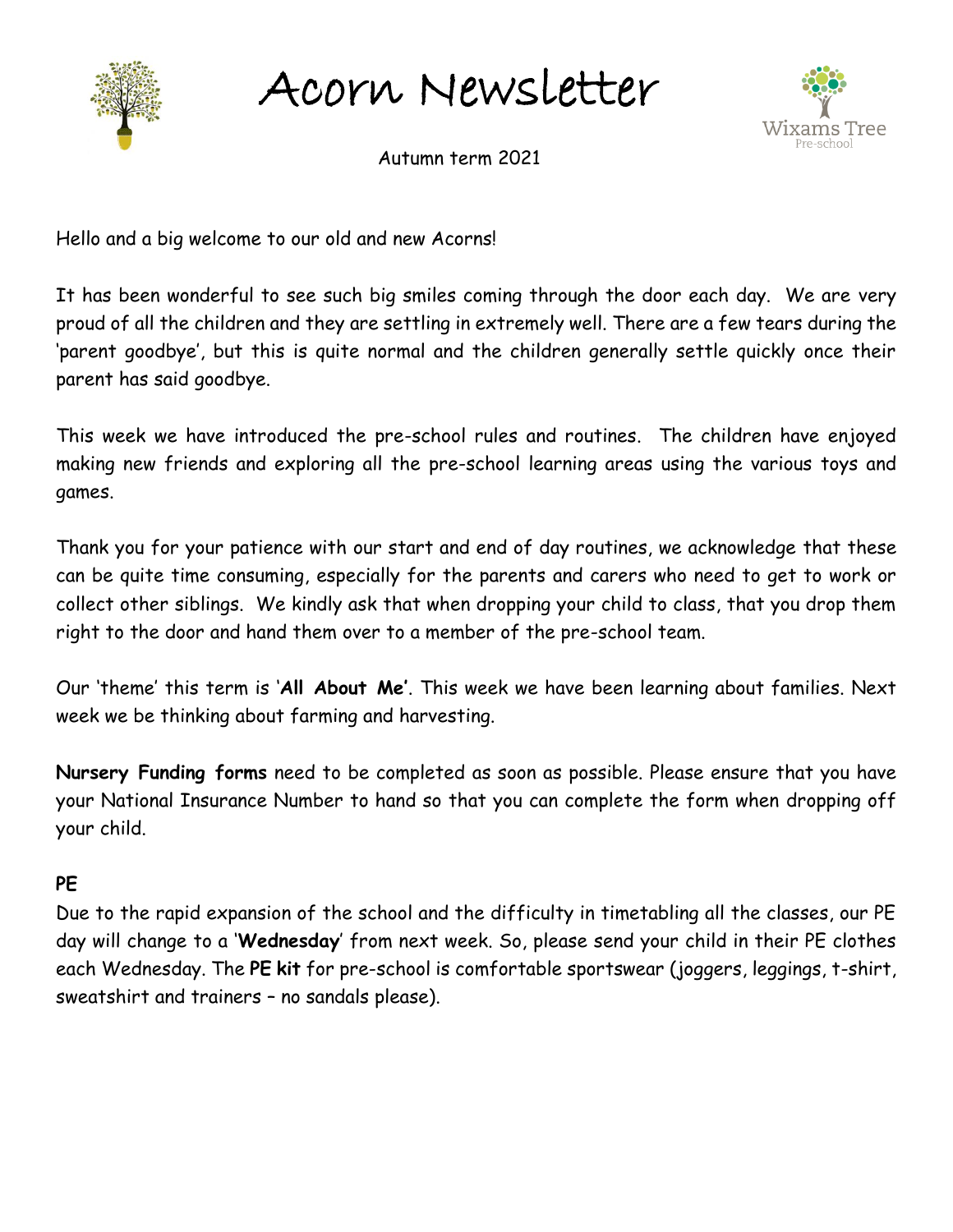

Acorn Newsletter



Autumn term 2021

Hello and a big welcome to our old and new Acorns!

It has been wonderful to see such big smiles coming through the door each day. We are very proud of all the children and they are settling in extremely well. There are a few tears during the 'parent goodbye', but this is quite normal and the children generally settle quickly once their parent has said goodbye.

This week we have introduced the pre-school rules and routines. The children have enjoyed making new friends and exploring all the pre-school learning areas using the various toys and games.

Thank you for your patience with our start and end of day routines, we acknowledge that these can be quite time consuming, especially for the parents and carers who need to get to work or collect other siblings. We kindly ask that when dropping your child to class, that you drop them right to the door and hand them over to a member of the pre-school team.

Our 'theme' this term is '**All About Me'**. This week we have been learning about families. Next week we be thinking about farming and harvesting.

**Nursery Funding forms** need to be completed as soon as possible. Please ensure that you have your National Insurance Number to hand so that you can complete the form when dropping off your child.

## **PE**

Due to the rapid expansion of the school and the difficulty in timetabling all the classes, our PE day will change to a '**Wednesday**' from next week. So, please send your child in their PE clothes each Wednesday. The **PE kit** for pre-school is comfortable sportswear (joggers, leggings, t-shirt, sweatshirt and trainers – no sandals please).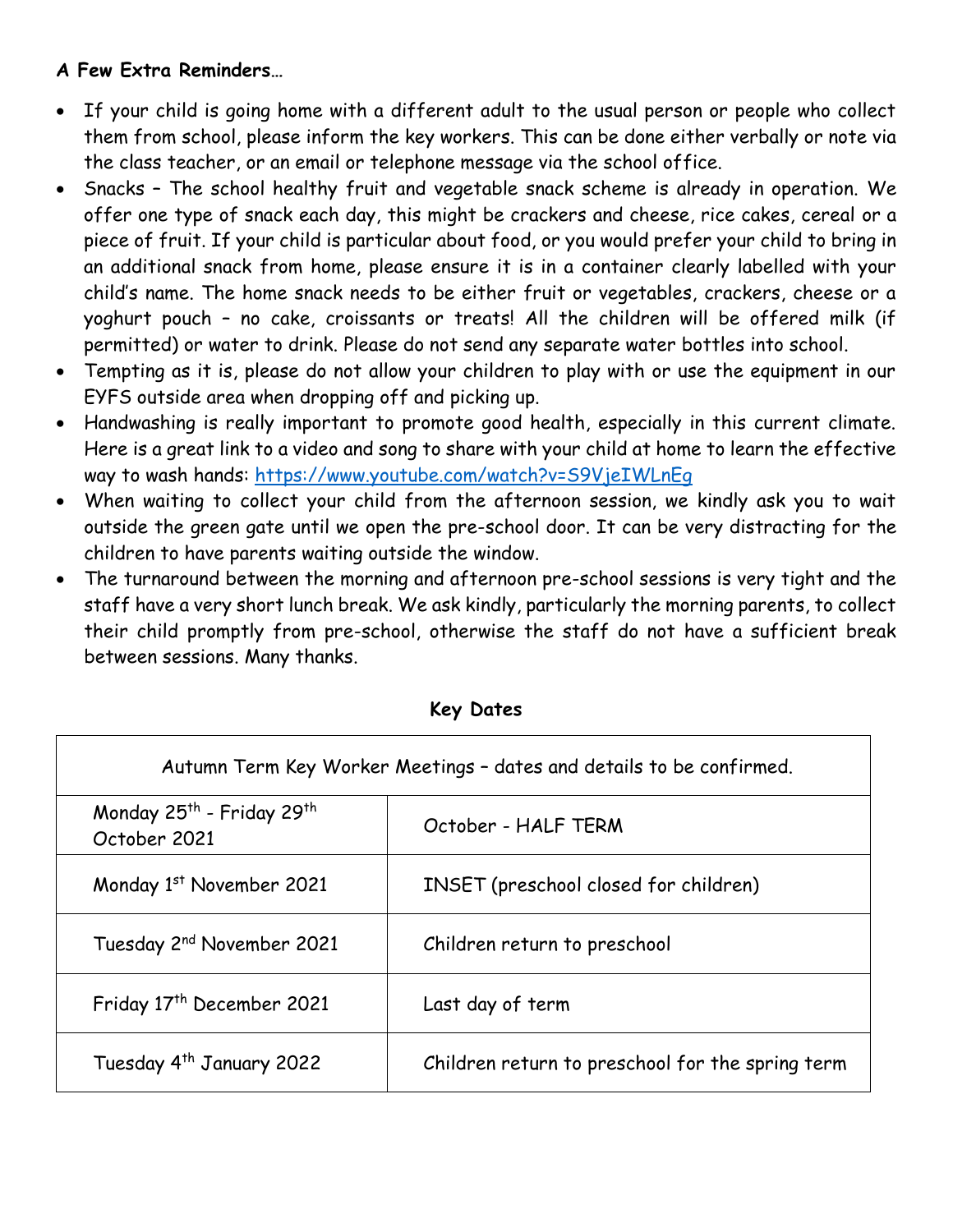## **A Few Extra Reminders…**

Г

- If your child is going home with a different adult to the usual person or people who collect them from school, please inform the key workers. This can be done either verbally or note via the class teacher, or an email or telephone message via the school office.
- Snacks The school healthy fruit and vegetable snack scheme is already in operation. We offer one type of snack each day, this might be crackers and cheese, rice cakes, cereal or a piece of fruit. If your child is particular about food, or you would prefer your child to bring in an additional snack from home, please ensure it is in a container clearly labelled with your child's name. The home snack needs to be either fruit or vegetables, crackers, cheese or a yoghurt pouch – no cake, croissants or treats! All the children will be offered milk (if permitted) or water to drink. Please do not send any separate water bottles into school.
- Tempting as it is, please do not allow your children to play with or use the equipment in our EYFS outside area when dropping off and picking up.
- Handwashing is really important to promote good health, especially in this current climate. Here is a great link to a video and song to share with your child at home to learn the effective way to wash hands:<https://www.youtube.com/watch?v=S9VjeIWLnEg>
- When waiting to collect your child from the afternoon session, we kindly ask you to wait outside the green gate until we open the pre-school door. It can be very distracting for the children to have parents waiting outside the window.
- The turnaround between the morning and afternoon pre-school sessions is very tight and the staff have a very short lunch break. We ask kindly, particularly the morning parents, to collect their child promptly from pre-school, otherwise the staff do not have a sufficient break between sessions. Many thanks.

| Autumn Term Key Worker Meetings - dates and details to be confirmed. |                                                  |
|----------------------------------------------------------------------|--------------------------------------------------|
| Monday 25 <sup>th</sup> - Friday 29 <sup>th</sup><br>October 2021    | October - HALF TERM                              |
| Monday 1st November 2021                                             | <b>INSET</b> (preschool closed for children)     |
| Tuesday 2 <sup>nd</sup> November 2021                                | Children return to preschool                     |
| Friday 17 <sup>th</sup> December 2021                                | Last day of term                                 |
| Tuesday 4 <sup>th</sup> January 2022                                 | Children return to preschool for the spring term |

## **Key Dates**